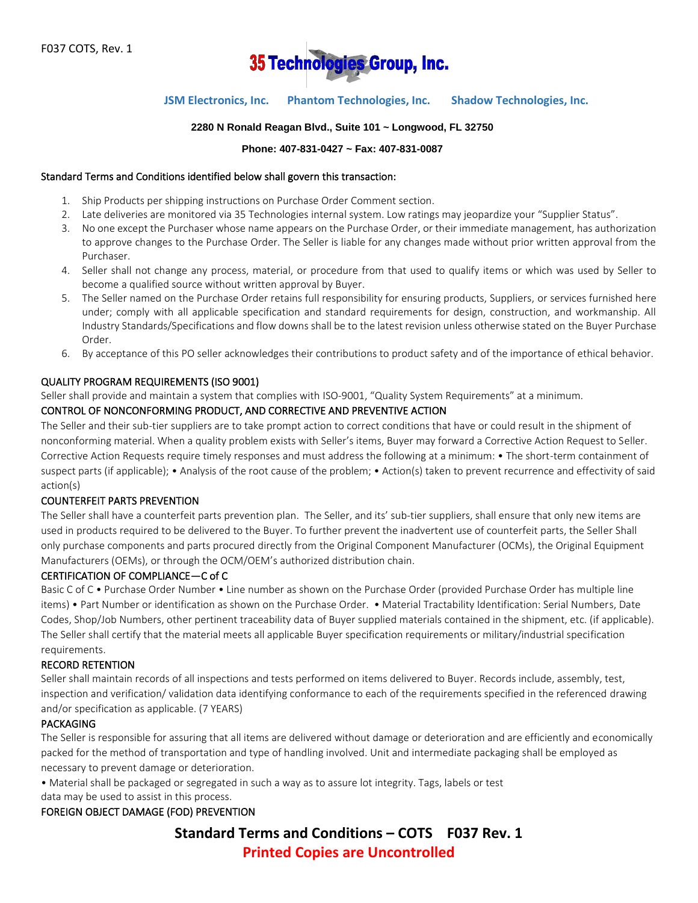

# **JSM Electronics, Inc. Phantom Technologies, Inc. Shadow Technologies, Inc.**

### **2280 N Ronald Reagan Blvd., Suite 101 ~ Longwood, FL 32750**

#### **Phone: 407-831-0427 ~ Fax: 407-831-0087**

#### Standard Terms and Conditions identified below shall govern this transaction:

- 1. Ship Products per shipping instructions on Purchase Order Comment section.
- 2. Late deliveries are monitored via 35 Technologies internal system. Low ratings may jeopardize your "Supplier Status".
- 3. No one except the Purchaser whose name appears on the Purchase Order, or their immediate management, has authorization to approve changes to the Purchase Order. The Seller is liable for any changes made without prior written approval from the Purchaser.
- 4. Seller shall not change any process, material, or procedure from that used to qualify items or which was used by Seller to become a qualified source without written approval by Buyer.
- 5. The Seller named on the Purchase Order retains full responsibility for ensuring products, Suppliers, or services furnished here under; comply with all applicable specification and standard requirements for design, construction, and workmanship. All Industry Standards/Specifications and flow downs shall be to the latest revision unless otherwise stated on the Buyer Purchase Order.
- 6. By acceptance of this PO seller acknowledges their contributions to product safety and of the importance of ethical behavior.

#### QUALITY PROGRAM REQUIREMENTS (ISO 9001)

Seller shall provide and maintain a system that complies with ISO-9001, "Quality System Requirements" at a minimum.

### CONTROL OF NONCONFORMING PRODUCT, AND CORRECTIVE AND PREVENTIVE ACTION

The Seller and their sub-tier suppliers are to take prompt action to correct conditions that have or could result in the shipment of nonconforming material. When a quality problem exists with Seller's items, Buyer may forward a Corrective Action Request to Seller. Corrective Action Requests require timely responses and must address the following at a minimum: • The short-term containment of suspect parts (if applicable); • Analysis of the root cause of the problem; • Action(s) taken to prevent recurrence and effectivity of said action(s)

#### COUNTERFEIT PARTS PREVENTION

The Seller shall have a counterfeit parts prevention plan. The Seller, and its' sub-tier suppliers, shall ensure that only new items are used in products required to be delivered to the Buyer. To further prevent the inadvertent use of counterfeit parts, the Seller Shall only purchase components and parts procured directly from the Original Component Manufacturer (OCMs), the Original Equipment Manufacturers (OEMs), or through the OCM/OEM's authorized distribution chain.

#### CERTIFICATION OF COMPLIANCE—C of C

Basic C of C • Purchase Order Number • Line number as shown on the Purchase Order (provided Purchase Order has multiple line items) • Part Number or identification as shown on the Purchase Order. • Material Tractability Identification: Serial Numbers, Date Codes, Shop/Job Numbers, other pertinent traceability data of Buyer supplied materials contained in the shipment, etc. (if applicable). The Seller shall certify that the material meets all applicable Buyer specification requirements or military/industrial specification requirements.

#### RECORD RETENTION

Seller shall maintain records of all inspections and tests performed on items delivered to Buyer. Records include, assembly, test, inspection and verification/ validation data identifying conformance to each of the requirements specified in the referenced drawing and/or specification as applicable. (7 YEARS)

#### PACKAGING

The Seller is responsible for assuring that all items are delivered without damage or deterioration and are efficiently and economically packed for the method of transportation and type of handling involved. Unit and intermediate packaging shall be employed as necessary to prevent damage or deterioration.

• Material shall be packaged or segregated in such a way as to assure lot integrity. Tags, labels or test data may be used to assist in this process.

#### FOREIGN OBJECT DAMAGE (FOD) PREVENTION

**Standard Terms and Conditions – COTS F037 Rev. 1 Printed Copies are Uncontrolled**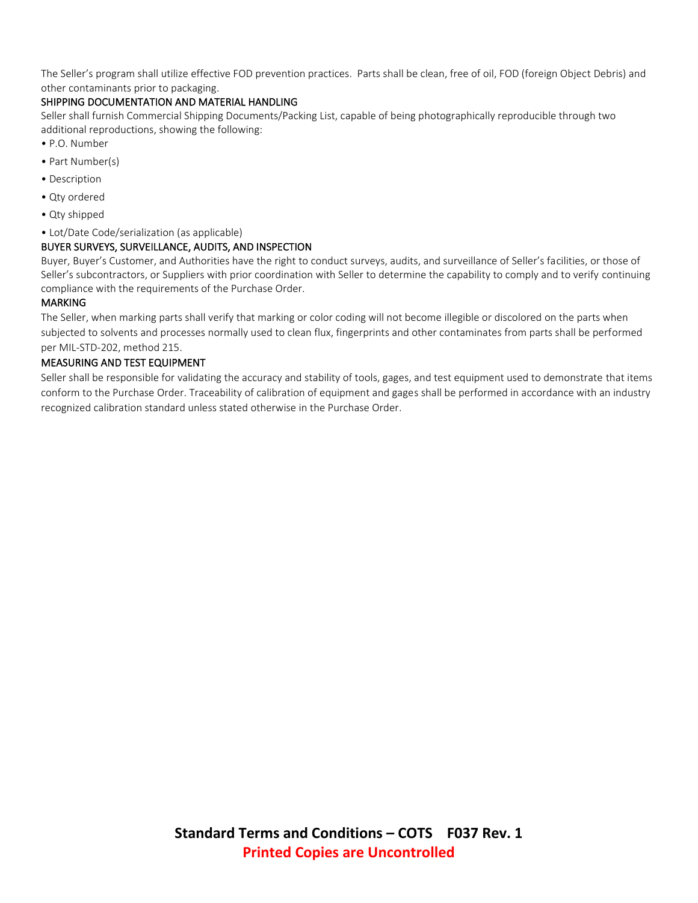The Seller's program shall utilize effective FOD prevention practices. Parts shall be clean, free of oil, FOD (foreign Object Debris) and other contaminants prior to packaging.

# SHIPPING DOCUMENTATION AND MATERIAL HANDLING

Seller shall furnish Commercial Shipping Documents/Packing List, capable of being photographically reproducible through two additional reproductions, showing the following:

- P.O. Number
- Part Number(s)
- Description
- Qty ordered
- Qty shipped
- Lot/Date Code/serialization (as applicable)

## BUYER SURVEYS, SURVEILLANCE, AUDITS, AND INSPECTION

Buyer, Buyer's Customer, and Authorities have the right to conduct surveys, audits, and surveillance of Seller's facilities, or those of Seller's subcontractors, or Suppliers with prior coordination with Seller to determine the capability to comply and to verify continuing compliance with the requirements of the Purchase Order.

## MARKING

The Seller, when marking parts shall verify that marking or color coding will not become illegible or discolored on the parts when subjected to solvents and processes normally used to clean flux, fingerprints and other contaminates from parts shall be performed per MIL-STD-202, method 215.

## MEASURING AND TEST EQUIPMENT

Seller shall be responsible for validating the accuracy and stability of tools, gages, and test equipment used to demonstrate that items conform to the Purchase Order. Traceability of calibration of equipment and gages shall be performed in accordance with an industry recognized calibration standard unless stated otherwise in the Purchase Order.